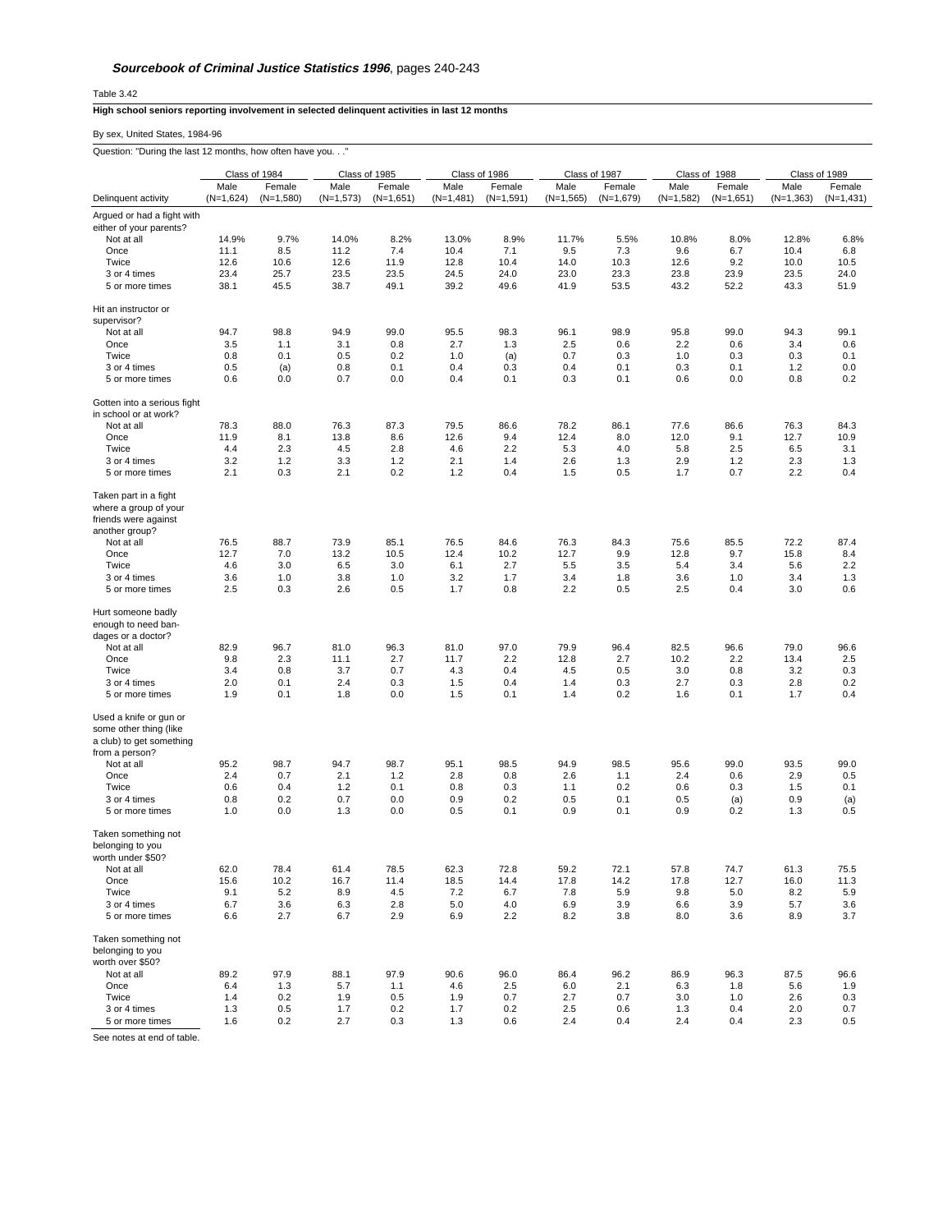Table 3.42

## **High school seniors reporting involvement in selected delinquent activities in last 12 months**

By sex, United States, 1984-96

Question: "During the last 12 months, how often have you. . ."

|                                                                                                                | Class of 1984             |                           | Class of 1985              |                           | Class of 1986              |                           | Class of 1987              |                           | Class of 1988              |                           | Class of 1989              |                           |
|----------------------------------------------------------------------------------------------------------------|---------------------------|---------------------------|----------------------------|---------------------------|----------------------------|---------------------------|----------------------------|---------------------------|----------------------------|---------------------------|----------------------------|---------------------------|
|                                                                                                                | Male                      | Female                    | Male                       | Female                    | Male                       | Female                    | Male<br>$(N=1,565)$        | Female                    | Male                       | Female                    | Male                       | Female                    |
| Delinquent activity<br>Argued or had a fight with                                                              | $(N=1,624)$               | $(N=1,580)$               | $(N=1,573)$                | $(N=1,651)$               | $(N=1,481)$                | $(N=1,591)$               |                            | $(N=1,679)$               | $(N=1,582)$                | $(N=1,651)$               | $(N=1,363)$                | $(N=1,431)$               |
| either of your parents?                                                                                        |                           |                           |                            |                           |                            |                           |                            |                           |                            |                           |                            |                           |
| Not at all                                                                                                     | 14.9%                     | 9.7%                      | 14.0%                      | 8.2%                      | 13.0%                      | 8.9%                      | 11.7%                      | 5.5%                      | 10.8%                      | 8.0%                      | 12.8%                      | 6.8%                      |
| Once                                                                                                           | 11.1                      | 8.5                       | 11.2                       | 7.4                       | 10.4                       | 7.1                       | 9.5                        | 7.3                       | 9.6                        | 6.7                       | 10.4                       | 6.8                       |
| Twice                                                                                                          | 12.6                      | 10.6                      | 12.6                       | 11.9                      | 12.8                       | 10.4                      | 14.0                       | 10.3                      | 12.6                       | 9.2                       | 10.0                       | 10.5                      |
| 3 or 4 times                                                                                                   | 23.4                      | 25.7                      | 23.5                       | 23.5                      | 24.5                       | 24.0                      | 23.0                       | 23.3                      | 23.8                       | 23.9                      | 23.5                       | 24.0                      |
| 5 or more times                                                                                                | 38.1                      | 45.5                      | 38.7                       | 49.1                      | 39.2                       | 49.6                      | 41.9                       | 53.5                      | 43.2                       | 52.2                      | 43.3                       | 51.9                      |
| Hit an instructor or<br>supervisor?                                                                            |                           |                           |                            |                           |                            |                           |                            |                           |                            |                           |                            |                           |
| Not at all                                                                                                     | 94.7                      | 98.8                      | 94.9                       | 99.0                      | 95.5                       | 98.3                      | 96.1                       | 98.9                      | 95.8                       | 99.0                      | 94.3                       | 99.1                      |
| Once                                                                                                           | 3.5                       | 1.1                       | 3.1                        | 0.8                       | 2.7                        | 1.3                       | 2.5                        | 0.6                       | 2.2                        | 0.6                       | 3.4                        | 0.6                       |
| Twice                                                                                                          | 0.8                       | 0.1                       | 0.5                        | 0.2                       | 1.0                        | (a)                       | 0.7                        | 0.3                       | 1.0                        | 0.3                       | 0.3                        | 0.1                       |
| 3 or 4 times<br>5 or more times                                                                                | 0.5<br>0.6                | (a)<br>0.0                | 0.8<br>0.7                 | 0.1<br>0.0                | 0.4<br>0.4                 | 0.3<br>0.1                | 0.4<br>0.3                 | 0.1<br>0.1                | 0.3<br>0.6                 | 0.1<br>0.0                | 1.2<br>0.8                 | 0.0<br>0.2                |
|                                                                                                                |                           |                           |                            |                           |                            |                           |                            |                           |                            |                           |                            |                           |
| Gotten into a serious fight<br>in school or at work?                                                           |                           |                           |                            |                           |                            |                           |                            |                           |                            |                           |                            |                           |
| Not at all                                                                                                     | 78.3                      | 88.0                      | 76.3                       | 87.3                      | 79.5                       | 86.6                      | 78.2                       | 86.1                      | 77.6                       | 86.6                      | 76.3                       | 84.3                      |
| Once                                                                                                           | 11.9                      | 8.1                       | 13.8                       | 8.6                       | 12.6                       | 9.4                       | 12.4                       | 8.0                       | 12.0                       | 9.1                       | 12.7                       | 10.9                      |
| Twice                                                                                                          | 4.4                       | 2.3                       | 4.5                        | 2.8                       | 4.6                        | 2.2                       | 5.3                        | 4.0                       | 5.8                        | 2.5                       | 6.5                        | 3.1                       |
| 3 or 4 times                                                                                                   | 3.2                       | 1.2                       | 3.3                        | 1.2                       | 2.1                        | 1.4                       | 2.6                        | 1.3                       | 2.9                        | 1.2                       | 2.3                        | 1.3                       |
| 5 or more times                                                                                                | 2.1                       | 0.3                       | 2.1                        | 0.2                       | 1.2                        | 0.4                       | 1.5                        | 0.5                       | 1.7                        | 0.7                       | 2.2                        | 0.4                       |
| Taken part in a fight<br>where a group of your<br>friends were against                                         |                           |                           |                            |                           |                            |                           |                            |                           |                            |                           |                            |                           |
| another group?<br>Not at all                                                                                   | 76.5                      | 88.7                      | 73.9                       | 85.1                      | 76.5                       | 84.6                      | 76.3                       | 84.3                      | 75.6                       | 85.5                      | 72.2                       | 87.4                      |
| Once                                                                                                           | 12.7                      | 7.0                       | 13.2                       | 10.5                      | 12.4                       | 10.2                      | 12.7                       | 9.9                       | 12.8                       | 9.7                       | 15.8                       | 8.4                       |
| Twice                                                                                                          | 4.6                       | 3.0                       | 6.5                        | 3.0                       | 6.1                        | 2.7                       | 5.5                        | 3.5                       | 5.4                        | 3.4                       | 5.6                        | 2.2                       |
| 3 or 4 times                                                                                                   | 3.6                       | 1.0                       | 3.8                        | 1.0                       | 3.2                        | 1.7                       | 3.4                        | 1.8                       | 3.6                        | 1.0                       | 3.4                        | 1.3                       |
| 5 or more times                                                                                                | 2.5                       | 0.3                       | 2.6                        | 0.5                       | 1.7                        | 0.8                       | 2.2                        | 0.5                       | 2.5                        | 0.4                       | 3.0                        | 0.6                       |
| Hurt someone badly<br>enough to need ban-<br>dages or a doctor?<br>Not at all<br>Once<br>Twice<br>3 or 4 times | 82.9<br>9.8<br>3.4<br>2.0 | 96.7<br>2.3<br>0.8<br>0.1 | 81.0<br>11.1<br>3.7<br>2.4 | 96.3<br>2.7<br>0.7<br>0.3 | 81.0<br>11.7<br>4.3<br>1.5 | 97.0<br>2.2<br>0.4<br>0.4 | 79.9<br>12.8<br>4.5<br>1.4 | 96.4<br>2.7<br>0.5<br>0.3 | 82.5<br>10.2<br>3.0<br>2.7 | 96.6<br>2.2<br>0.8<br>0.3 | 79.0<br>13.4<br>3.2<br>2.8 | 96.6<br>2.5<br>0.3<br>0.2 |
| 5 or more times<br>Used a knife or gun or                                                                      | 1.9                       | 0.1                       | 1.8                        | 0.0                       | 1.5                        | 0.1                       | 1.4                        | 0.2                       | 1.6                        | 0.1                       | 1.7                        | 0.4                       |
| some other thing (like<br>a club) to get something<br>from a person?                                           | 95.2                      | 98.7                      |                            | 98.7                      |                            |                           |                            | 98.5                      |                            |                           | 93.5                       |                           |
| Not at all<br>Once                                                                                             | 2.4                       | 0.7                       | 94.7<br>2.1                | 1.2                       | 95.1<br>2.8                | 98.5<br>0.8               | 94.9<br>2.6                | 1.1                       | 95.6<br>2.4                | 99.0<br>0.6               | 2.9                        | 99.0<br>0.5               |
| Twice                                                                                                          | 0.6                       | 0.4                       | 1.2                        | 0.1                       | 0.8                        | 0.3                       | 1.1                        | 0.2                       | 0.6                        | 0.3                       | 1.5                        | 0.1                       |
| 3 or 4 times                                                                                                   | 0.8                       | 0.2                       | 0.7                        | 0.0                       | 0.9                        | 0.2                       | 0.5                        | 0.1                       | 0.5                        | (a)                       | 0.9                        | (a)                       |
| 5 or more times                                                                                                | 1.0                       | 0.0                       | 1.3                        | 0.0                       | 0.5                        | 0.1                       | 0.9                        | 0.1                       | 0.9                        | 0.2                       | 1.3                        | 0.5                       |
| Taken something not<br>belonging to you<br>worth under \$50?                                                   |                           |                           |                            |                           |                            |                           |                            |                           |                            |                           |                            |                           |
| Not at all                                                                                                     | 62.0                      | 78.4                      | 61.4                       | 78.5                      | 62.3                       | 72.8                      | 59.2                       | 72.1                      | 57.8                       | 74.7                      | 61.3                       | 75.5                      |
| Once                                                                                                           | 15.6                      | 10.2                      | 16.7                       | 11.4                      | 18.5                       | 14.4                      | 17.8                       | 14.2                      | 17.8                       | 12.7                      | 16.0                       | 11.3                      |
| Twice                                                                                                          | 9.1                       | 5.2                       | 8.9                        | 4.5                       | 7.2                        | 6.7                       | 7.8                        | 5.9                       | 9.8                        | 5.0                       | 8.2                        | 5.9                       |
| 3 or 4 times<br>5 or more times                                                                                | 6.7<br>6.6                | 3.6<br>2.7                | 6.3<br>6.7                 | 2.8<br>2.9                | 5.0<br>6.9                 | 4.0<br>2.2                | 6.9<br>8.2                 | 3.9<br>3.8                | 6.6<br>8.0                 | 3.9<br>3.6                | 5.7<br>8.9                 | 3.6<br>3.7                |
| Taken something not<br>belonging to you<br>worth over \$50?<br>Not at all                                      | 89.2                      | 97.9                      | 88.1                       | 97.9                      | 90.6                       | 96.0                      | 86.4                       | 96.2                      | 86.9                       | 96.3                      | 87.5                       | 96.6                      |
| Once                                                                                                           | 6.4                       | 1.3                       | 5.7                        | 1.1                       | 4.6                        | 2.5                       | 6.0                        | 2.1                       | 6.3                        | 1.8                       | 5.6                        | 1.9                       |
| Twice                                                                                                          | 1.4                       | 0.2                       | 1.9                        | 0.5                       | 1.9                        | 0.7                       | 2.7                        | 0.7                       | 3.0                        | 1.0                       | 2.6                        | 0.3                       |
| 3 or 4 times                                                                                                   | 1.3                       | 0.5                       | 1.7                        | 0.2                       | 1.7                        | 0.2                       | 2.5                        | 0.6                       | 1.3                        | 0.4                       | 2.0                        | 0.7                       |
| 5 or more times                                                                                                | 1.6                       | 0.2                       | 2.7                        | 0.3                       | 1.3                        | 0.6                       | 2.4                        | 0.4                       | 2.4                        | 0.4                       | 2.3                        | 0.5                       |

See notes at end of table.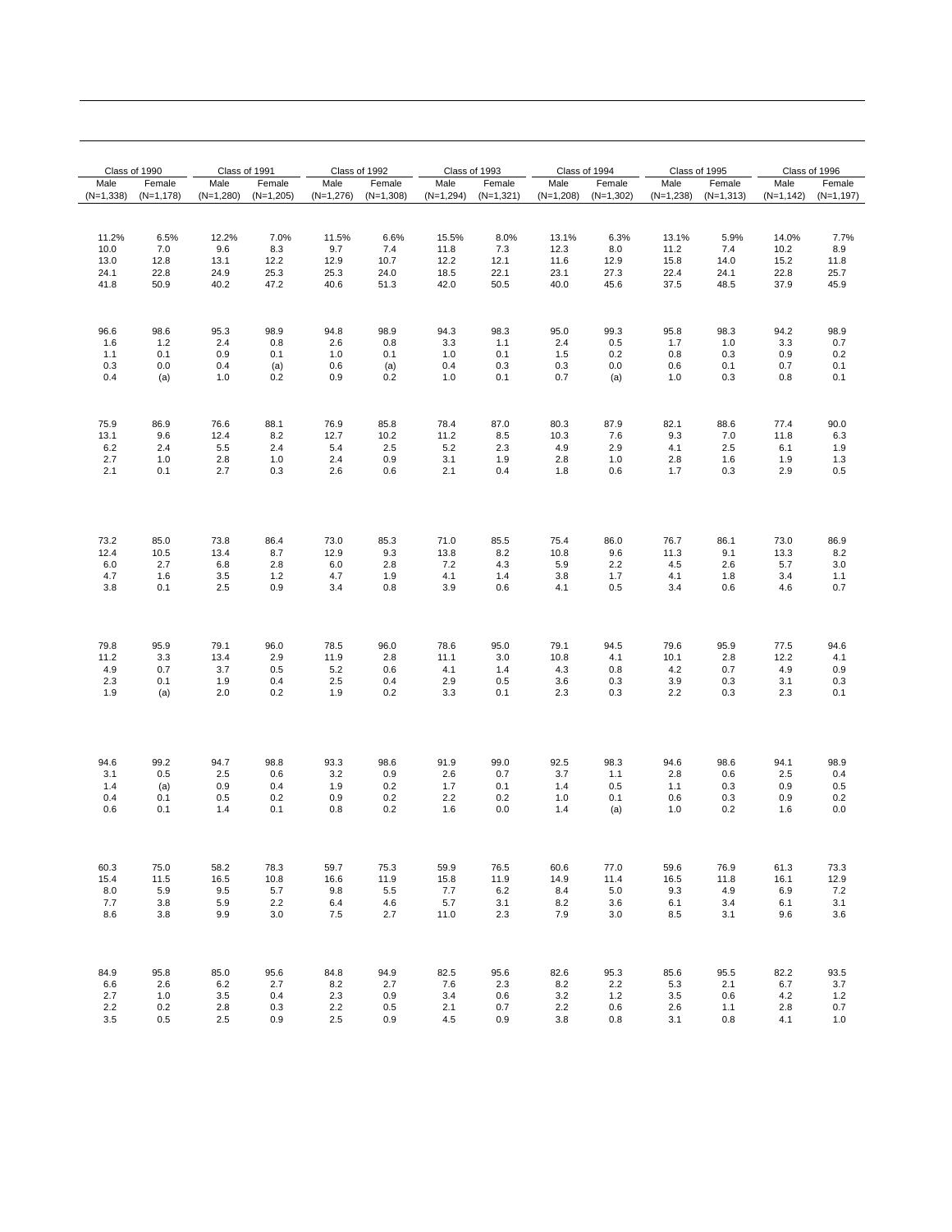| Class of 1990 |             | Class of 1991 |             |             | Class of 1992 |             | Class of 1993 |             | Class of 1994 |             | Class of 1995 |              | Class of 1996 |  |
|---------------|-------------|---------------|-------------|-------------|---------------|-------------|---------------|-------------|---------------|-------------|---------------|--------------|---------------|--|
| Male          | Female      | Male          | Female      | Male        | Female        | Male        | Female        | Male        | Female        | Male        | Female        | Male         | Female        |  |
| $(N=1,338)$   | $(N=1,178)$ | $(N=1,280)$   | $(N=1,205)$ | $(N=1,276)$ | $(N=1,308)$   | $(N=1,294)$ | $(N=1, 321)$  | $(N=1,208)$ | $(N=1,302)$   | $(N=1,238)$ | $(N=1,313)$   | $(N=1, 142)$ | $(N=1, 197)$  |  |
| 11.2%         | 6.5%        | 12.2%         | 7.0%        | 11.5%       | 6.6%          | 15.5%       | 8.0%          | 13.1%       | 6.3%          | 13.1%       | 5.9%          | 14.0%        | 7.7%          |  |
| 10.0          | 7.0         | 9.6           | 8.3         | 9.7         | 7.4           | 11.8        | 7.3           | 12.3        | 8.0           | 11.2        | 7.4           | 10.2         | 8.9           |  |
| 13.0          | 12.8        | 13.1          | 12.2        | 12.9        | 10.7          | 12.2        | 12.1          | 11.6        | 12.9          | 15.8        | 14.0          | 15.2         | 11.8          |  |
| 24.1          | 22.8        | 24.9          | 25.3        | 25.3        | 24.0          | 18.5        | 22.1          | 23.1        | 27.3          | 22.4        | 24.1          | 22.8         | 25.7          |  |
| 41.8          | 50.9        | 40.2          | 47.2        | 40.6        | 51.3          | 42.0        | 50.5          | 40.0        | 45.6          | 37.5        | 48.5          | 37.9         | 45.9          |  |
| 96.6          | 98.6        | 95.3          | 98.9        | 94.8        | 98.9          | 94.3        | 98.3          | 95.0        | 99.3          | 95.8        | 98.3          | 94.2         | 98.9          |  |
| 1.6           | 1.2         | 2.4           | 0.8         | 2.6         | 0.8           | 3.3         | 1.1           | 2.4         | 0.5           | 1.7         | 1.0           | 3.3          | 0.7           |  |
| 1.1           | 0.1         | 0.9           | 0.1         | 1.0         | 0.1           | 1.0         | 0.1           | 1.5         | 0.2           | 0.8         | 0.3           | 0.9          | 0.2           |  |
| 0.3           | 0.0         | 0.4           | (a)         | 0.6         | (a)           | 0.4         | 0.3           | 0.3         | 0.0           | 0.6         | 0.1           | 0.7          | 0.1           |  |
| 0.4           | (a)         | 1.0           | 0.2         | 0.9         | 0.2           | 1.0         | 0.1           | 0.7         | (a)           | 1.0         | 0.3           | 0.8          | 0.1           |  |
| 75.9          | 86.9        | 76.6          | 88.1        | 76.9        | 85.8          | 78.4        | 87.0          | 80.3        | 87.9          | 82.1        | 88.6          | 77.4         | 90.0          |  |
| 13.1          | 9.6         | 12.4          | 8.2         | 12.7        | 10.2          | 11.2        | 8.5           | 10.3        | 7.6           | 9.3         | 7.0           | 11.8         | 6.3           |  |
| 6.2           | 2.4         | 5.5           | 2.4         | 5.4         | 2.5           | 5.2         | 2.3           | 4.9         | 2.9           | 4.1         | 2.5           | 6.1          | 1.9           |  |
| 2.7           | 1.0         | 2.8           | 1.0         | 2.4         | 0.9           | 3.1         | 1.9           | 2.8         | 1.0           | 2.8         | 1.6           | 1.9          | 1.3           |  |
| 2.1           | 0.1         | 2.7           | 0.3         | 2.6         | 0.6           | 2.1         | 0.4           | 1.8         | 0.6           | 1.7         | 0.3           | 2.9          | 0.5           |  |
| 73.2          | 85.0        | 73.8          | 86.4        | 73.0        | 85.3          | 71.0        | 85.5          | 75.4        | 86.0          | 76.7        | 86.1          | 73.0         | 86.9          |  |
| 12.4          | 10.5        | 13.4          | 8.7         | 12.9        | 9.3           | 13.8        | 8.2           | 10.8        | 9.6           | 11.3        | 9.1           | 13.3         | 8.2           |  |
| 6.0           | 2.7         | 6.8           | 2.8         | 6.0         | 2.8           | 7.2         | 4.3           | 5.9         | 2.2           | 4.5         | 2.6           | 5.7          | 3.0           |  |
| 4.7           | 1.6         | 3.5           | 1.2         | 4.7         | 1.9           | 4.1         | 1.4           | 3.8         | 1.7           | 4.1         | 1.8           | 3.4          | 1.1           |  |
| 3.8           | 0.1         | 2.5           | 0.9         | 3.4         | 0.8           | 3.9         | 0.6           | 4.1         | 0.5           | 3.4         | 0.6           | 4.6          | 0.7           |  |
| 79.8          | 95.9        | 79.1          | 96.0        | 78.5        | 96.0          | 78.6        | 95.0          | 79.1        | 94.5          | 79.6        | 95.9          | 77.5         | 94.6          |  |
| 11.2          | 3.3         | 13.4          | 2.9         | 11.9        | 2.8           | 11.1        | 3.0           | 10.8        | 4.1           | 10.1        | 2.8           | 12.2         | 4.1           |  |
| 4.9           | 0.7         | 3.7           | 0.5         | 5.2         | 0.6           | 4.1         | 1.4           | 4.3         | 0.8           | 4.2         | 0.7           | 4.9          | 0.9           |  |
| 2.3           | 0.1         | 1.9           | 0.4         | 2.5         | 0.4           | 2.9         | 0.5           | 3.6         | 0.3           | 3.9         | 0.3           | 3.1          | 0.3           |  |
| 1.9           | (a)         | 2.0           | 0.2         | 1.9         | 0.2           | 3.3         | 0.1           | 2.3         | 0.3           | 2.2         | 0.3           | 2.3          | 0.1           |  |
| 94.6          | 99.2        | 94.7          | 98.8        | 93.3        | 98.6          | 91.9        | 99.0          | 92.5        | 98.3          | 94.6        | 98.6          | 94.1         | 98.9          |  |
| 3.1           | 0.5         | 2.5           | 0.6         | 3.2         | 0.9           | 2.6         | 0.7           | 3.7         | 1.1           | 2.8         | 0.6           | 2.5          | 0.4           |  |
| 1.4           | (a)         | 0.9           | 0.4         | 1.9         | 0.2           | 1.7         | 0.1           | 1.4         | 0.5           | 1.1         | 0.3           | 0.9          | 0.5           |  |
| 0.4           | 0.1         | 0.5           | 0.2         | 0.9         | 0.2           | 2.2         | 0.2           | 1.0         | 0.1           | 0.6         | 0.3           | 0.9          | 0.2           |  |
| 0.6           | 0.1         | 1.4           | 0.1         | 0.8         | 0.2           | 1.6         | 0.0           | 1.4         | (a)           | 1.0         | 0.2           | 1.6          | 0.0           |  |
| 60.3          | 75.0        | 58.2          | 78.3        | 59.7        | 75.3          | 59.9        | 76.5          | 60.6        | 77.0          | 59.6        | 76.9          | 61.3         | 73.3          |  |
| 15.4          | 11.5        | 16.5          | 10.8        | 16.6        | 11.9          | 15.8        | 11.9          | 14.9        | 11.4          | 16.5        | 11.8          | 16.1         | 12.9          |  |
| 8.0           | 5.9         | 9.5           | 5.7         | 9.8         | 5.5           | 7.7         | 6.2           | 8.4         | 5.0           | 9.3         | 4.9           | 6.9          | 7.2           |  |
| 7.7           | 3.8         | 5.9           | 2.2         | 6.4         | 4.6           | 5.7         | 3.1           | 8.2         | 3.6           | 6.1         | 3.4           | 6.1          | 3.1           |  |
| 8.6           | 3.8         | 9.9           | 3.0         | 7.5         | 2.7           | 11.0        | 2.3           | 7.9         | 3.0           | 8.5         | 3.1           | 9.6          | 3.6           |  |
| 84.9          | 95.8        | 85.0          | 95.6        | 84.8        | 94.9          | 82.5        | 95.6          | 82.6        | 95.3          | 85.6        | 95.5          | 82.2         | 93.5          |  |
| 6.6           | 2.6         | 6.2           | 2.7         | 8.2         | 2.7           | 7.6         | 2.3           | 8.2         | 2.2           | 5.3         | 2.1           | 6.7          | 3.7           |  |
| 2.7           | 1.0         | 3.5           | 0.4         | 2.3         | 0.9           | 3.4         | 0.6           | 3.2         | 1.2           | 3.5         | 0.6           | 4.2          | 1.2           |  |
| 2.2           | 0.2         | 2.8           | 0.3         | 2.2         | 0.5           | 2.1         | 0.7           | 2.2         | 0.6           | 2.6         | 1.1           | 2.8          | 0.7           |  |
| 3.5           | 0.5         | 2.5           | 0.9         | 2.5         | 0.9           | 4.5         | 0.9           | 3.8         | 0.8           | 3.1         | 0.8           | 4.1          | 1.0           |  |

 $\overline{\phantom{0}}$ 

<u> 1989 - Johann Barn, amerikansk politiker (</u>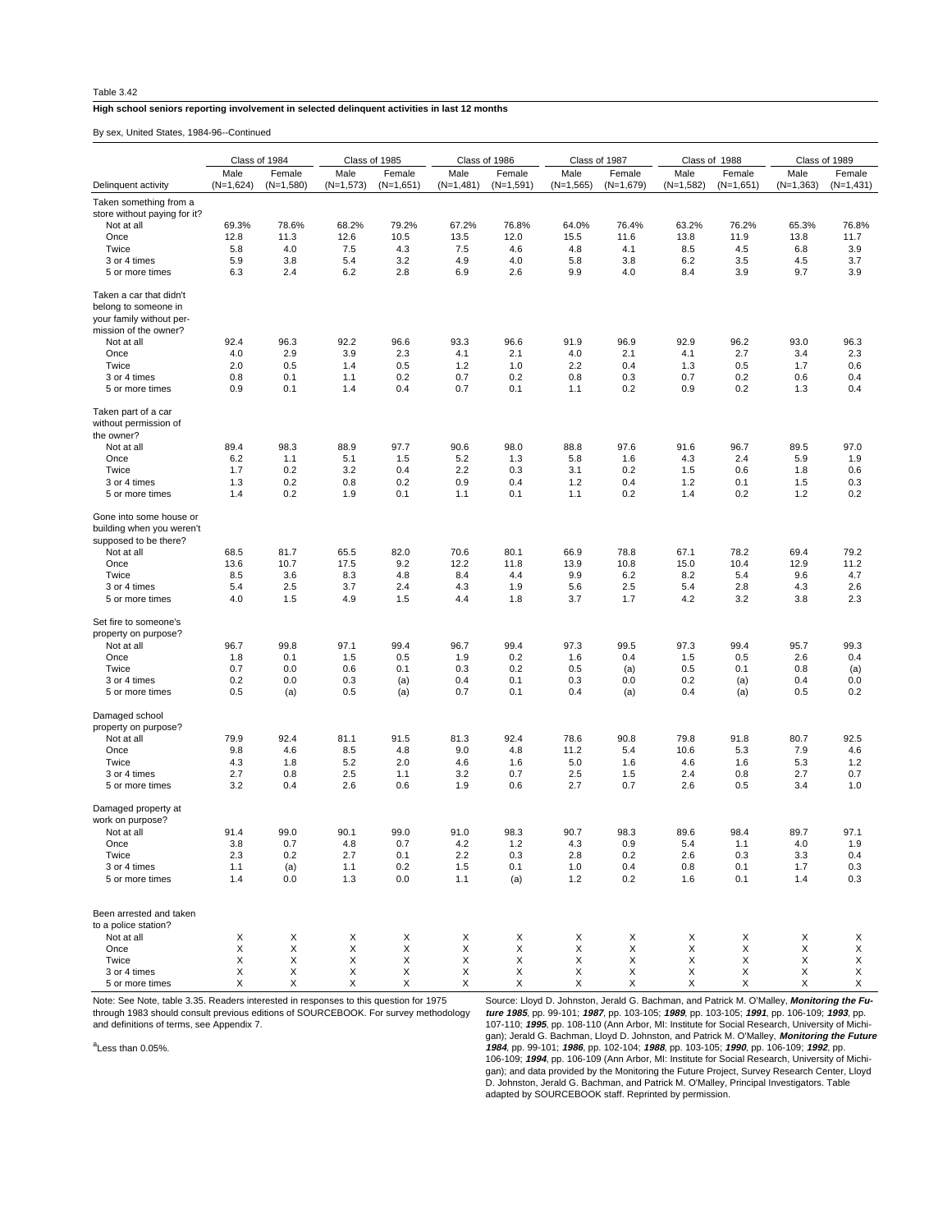## Table 3.42

## **High school seniors reporting involvement in selected delinquent activities in last 12 months**

By sex, United States, 1984-96--Continued

|                                                                                                      | Class of 1984 |             | Class of 1985 |             | Class of 1986 |             | Class of 1987 |             | Class of 1988 |             | Class of 1989 |             |
|------------------------------------------------------------------------------------------------------|---------------|-------------|---------------|-------------|---------------|-------------|---------------|-------------|---------------|-------------|---------------|-------------|
|                                                                                                      | Male          | Female      | Male          | Female      | Male          | Female      | Male          | Female      | Male          | Female      | Male          | Female      |
| Delinquent activity                                                                                  | $(N=1,624)$   | $(N=1,580)$ | $(N=1,573)$   | $(N=1,651)$ | $(N=1,481)$   | $(N=1,591)$ | $(N=1,565)$   | $(N=1,679)$ | $(N=1,582)$   | $(N=1,651)$ | $(N=1,363)$   | $(N=1,431)$ |
| Taken something from a                                                                               |               |             |               |             |               |             |               |             |               |             |               |             |
| store without paying for it?                                                                         |               |             |               |             |               |             |               |             |               |             |               |             |
| Not at all                                                                                           | 69.3%         | 78.6%       | 68.2%         | 79.2%       | 67.2%         | 76.8%       | 64.0%         | 76.4%       | 63.2%         | 76.2%       | 65.3%         | 76.8%       |
| Once                                                                                                 | 12.8          | 11.3        | 12.6          | 10.5        | 13.5          | 12.0        | 15.5          | 11.6        | 13.8          | 11.9        | 13.8          | 11.7        |
| Twice                                                                                                | 5.8           | 4.0         | 7.5           | 4.3         | 7.5           | 4.6         | 4.8           | 4.1         | 8.5           | 4.5         | 6.8           | 3.9         |
| 3 or 4 times                                                                                         | 5.9           | 3.8         | 5.4           | 3.2         | 4.9           | 4.0         | 5.8           | 3.8         | 6.2           | 3.5         | 4.5           | 3.7         |
| 5 or more times                                                                                      | 6.3           | 2.4         | 6.2           | 2.8         | 6.9           | 2.6         | 9.9           | 4.0         | 8.4           | 3.9         | 9.7           | 3.9         |
| Taken a car that didn't<br>belong to someone in<br>your family without per-<br>mission of the owner? |               |             |               |             |               |             |               |             |               |             |               |             |
| Not at all                                                                                           | 92.4          | 96.3        | 92.2          | 96.6        | 93.3          | 96.6        | 91.9          | 96.9        | 92.9          | 96.2        | 93.0          | 96.3        |
| Once                                                                                                 | 4.0           | 2.9         | 3.9           | 2.3         | 4.1           | 2.1         | 4.0           | 2.1         | 4.1           | 2.7         | 3.4           | 2.3         |
| Twice                                                                                                | 2.0           | 0.5         | 1.4           | 0.5         | 1.2           | 1.0         | 2.2           | 0.4         | 1.3           | 0.5         | 1.7           | 0.6         |
| 3 or 4 times                                                                                         | 0.8           | 0.1         | 1.1           | 0.2         | 0.7           | 0.2         | 0.8           | 0.3         | 0.7           | 0.2         | 0.6           | 0.4         |
| 5 or more times                                                                                      | 0.9           | 0.1         | 1.4           | 0.4         | 0.7           | 0.1         | 1.1           | 0.2         | 0.9           | 0.2         | 1.3           | 0.4         |
| Taken part of a car<br>without permission of<br>the owner?                                           |               |             |               |             |               |             |               |             |               |             |               |             |
| Not at all                                                                                           | 89.4          | 98.3        | 88.9          | 97.7        | 90.6          | 98.0        | 88.8          | 97.6        | 91.6          | 96.7        | 89.5          | 97.0        |
| Once                                                                                                 | 6.2           | 1.1         | 5.1           | 1.5         | 5.2           | 1.3         | 5.8           | 1.6         | 4.3           | 2.4         | 5.9           | 1.9         |
| Twice                                                                                                | 1.7           | 0.2         | 3.2           | 0.4         | 2.2           | 0.3         | 3.1           | 0.2         | 1.5           | 0.6         | 1.8           | 0.6         |
| 3 or 4 times                                                                                         | 1.3           | 0.2         | 0.8           | 0.2         | 0.9           | 0.4         | 1.2           | 0.4         | 1.2           | 0.1         | 1.5           | 0.3         |
| 5 or more times                                                                                      | 1.4           | 0.2         | 1.9           | 0.1         | 1.1           | 0.1         | 1.1           | 0.2         | 1.4           | 0.2         | 1.2           | 0.2         |
| Gone into some house or<br>building when you weren't<br>supposed to be there?                        |               |             |               |             |               |             |               |             |               |             |               |             |
| Not at all                                                                                           | 68.5          | 81.7        | 65.5          | 82.0        | 70.6          | 80.1        | 66.9          | 78.8        | 67.1          | 78.2        | 69.4          | 79.2        |
| Once                                                                                                 | 13.6          | 10.7        | 17.5          | 9.2         | 12.2          | 11.8        | 13.9          | 10.8        | 15.0          | 10.4        | 12.9          | 11.2        |
| Twice                                                                                                | 8.5           | 3.6         | 8.3           | 4.8         | 8.4           | 4.4         | 9.9           | 6.2         | 8.2           | 5.4         | 9.6           | 4.7         |
| 3 or 4 times                                                                                         | 5.4           | 2.5         | 3.7           | 2.4         | 4.3           | 1.9         | 5.6           | 2.5         | 5.4           | 2.8         | 4.3           | 2.6         |
| 5 or more times                                                                                      | 4.0           | 1.5         | 4.9           | 1.5         | 4.4           | 1.8         | 3.7           | 1.7         | 4.2           | 3.2         | 3.8           | 2.3         |
| Set fire to someone's<br>property on purpose?                                                        |               |             |               |             |               |             |               |             |               |             |               |             |
| Not at all                                                                                           | 96.7          | 99.8        | 97.1          | 99.4        | 96.7          | 99.4        | 97.3          | 99.5        | 97.3          | 99.4        | 95.7          | 99.3        |
| Once                                                                                                 | 1.8           | 0.1         | 1.5           | 0.5         | 1.9           | 0.2         | 1.6           | 0.4         | 1.5           | 0.5         | 2.6           | 0.4         |
| Twice                                                                                                | 0.7<br>0.2    | 0.0<br>0.0  | 0.6<br>0.3    | 0.1         | 0.3<br>0.4    | 0.2<br>0.1  | 0.5<br>0.3    | (a)<br>0.0  | 0.5<br>0.2    | 0.1         | 0.8<br>0.4    | (a)<br>0.0  |
| 3 or 4 times<br>5 or more times                                                                      | 0.5           | (a)         | 0.5           | (a)<br>(a)  | 0.7           | 0.1         | 0.4           | (a)         | 0.4           | (a)<br>(a)  | 0.5           | 0.2         |
| Damaged school<br>property on purpose?                                                               |               |             |               |             |               |             |               |             |               |             |               |             |
| Not at all                                                                                           | 79.9          | 92.4        | 81.1          | 91.5        | 81.3          | 92.4        | 78.6          | 90.8        | 79.8          | 91.8        | 80.7          | 92.5        |
| Once                                                                                                 | 9.8           | 4.6         | 8.5           | 4.8         | 9.0           | 4.8         | 11.2          | 5.4         | 10.6          | 5.3         | 7.9           | 4.6         |
| Twice                                                                                                | 4.3           | 1.8         | 5.2           | 2.0         | 4.6           | 1.6         | 5.0           | 1.6         | 4.6           | 1.6         | 5.3           | 1.2         |
| 3 or 4 times<br>5 or more times                                                                      | 2.7<br>3.2    | 0.8<br>0.4  | 2.5<br>2.6    | 1.1<br>0.6  | 3.2<br>1.9    | 0.7<br>0.6  | 2.5<br>2.7    | 1.5<br>0.7  | 2.4<br>2.6    | 0.8<br>0.5  | 2.7<br>3.4    | 0.7<br>1.0  |
| Damaged property at<br>work on purpose?                                                              |               |             |               |             |               |             |               |             |               |             |               |             |
| Not at all                                                                                           | 91.4          | 99.0        | 90.1          | 99.0        | 91.0          | 98.3        | 90.7          | 98.3        | 89.6          | 98.4        | 89.7          | 97.1        |
| Once                                                                                                 | 3.8           | 0.7         | 4.8           | 0.7         | 4.2           | 1.2         | 4.3           | 0.9         | 5.4           | 1.1         | 4.0           | 1.9         |
| Twice                                                                                                | 2.3           | 0.2         | 2.7           | 0.1         | 2.2           | 0.3         | 2.8           | 0.2         | 2.6           | 0.3         | 3.3           | 0.4         |
| 3 or 4 times                                                                                         | 1.1           | (a)         | 1.1           | 0.2         | 1.5           | 0.1         | 1.0           | 0.4         | 0.8           | 0.1         | 1.7           | 0.3         |
| 5 or more times                                                                                      | 1.4           | 0.0         | 1.3           | 0.0         | 1.1           | (a)         | 1.2           | 0.2         | 1.6           | 0.1         | 1.4           | 0.3         |
| Been arrested and taken<br>to a police station?                                                      |               |             |               |             |               |             |               |             |               |             |               |             |
| Not at all                                                                                           | X             | X           | х             | Х           | X             | X           | X             | X           | Х             | X           | X             | Х           |
| Once<br>Twice                                                                                        | X<br>X        | X<br>X      | X<br>X        | X<br>X      | Χ<br>Χ        | X<br>X      | X<br>Χ        | X<br>X      | Х<br>X        | X<br>X      | Χ<br>Х        | Χ<br>X      |
| 3 or 4 times                                                                                         | Х             | X           | X             | X           | X             | X           | X             | X           | X             | X           | X             | X           |
| 5 or more times                                                                                      | X             | X           | X             | X           | X             | X           | X             | X           | X             | X           | X             | X           |

Note: See Note, table 3.35. Readers interested in responses to this question for 1975 through 1983 should consult previous editions of SOURCEBOOK. For survey methodology and definitions of terms, see Appendix 7.

Source: Lloyd D. Johnston, Jerald G. Bachman, and Patrick M. O'Malley, *Monitoring the Fu-<br>ture 1985*, pp. 99-101; 1987, pp. 103-105; 1989, pp. 103-105; 1991, pp. 106-109; 1993, pp.<br>107-110; 1995, pp. 108-110 (Ann Arbor, M 106-109; **1994**, pp. 106-109 (Ann Arbor, MI: Institute for Social Research, University of Michigan); and data provided by the Monitoring the Future Project, Survey Research Center, Lloyd<br>D. Johnston, Jerald G. Bachman, and Patrick M. O'Malley, Principal Investigators. Table<br>adapted by SOURCEBOOK staff. Reprinted by

<sup>a</sup>Less than 0.05%.